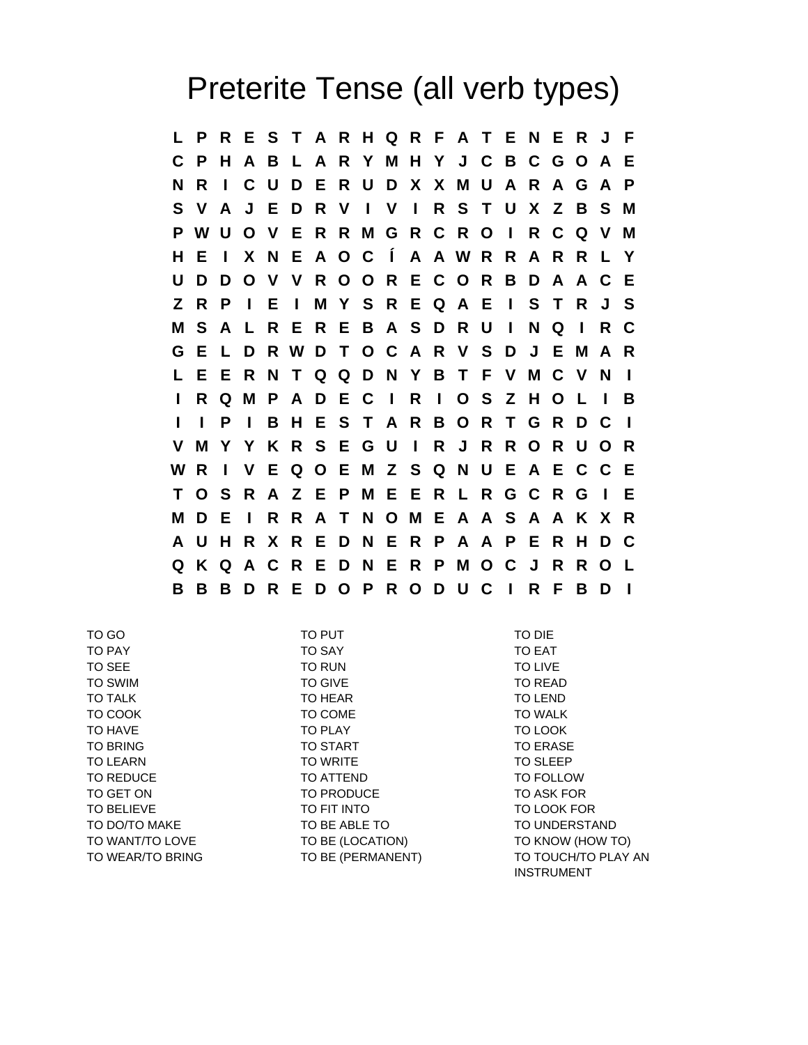## Preterite Tense (all verb types)

**L P R E S T A R H Q R F A T E N E R J F C P H A B L A R Y M H Y J C B C G O A E N R I C U D E R U D X X M U A R A G A P S V A J E D R V I V I R S T U X Z B S M P W U O V E R R M G R C R O I R C Q V M H E I X N E A O C Í A A W R R A R R L Y U D D O V V R O O R E C O R B D A A C E Z R P I E I M Y S R E Q A E I S T R J S M S A L R E R E B A S D R U I N Q I R C G E L D R W D T O C A R V S D J E M A R L E E R N T Q Q D N Y B T F V M C V N I I R Q M P A D E C I R I O S Z H O L I B I I P I B H E S T A R B O R T G R D C I V M Y Y K R S E G U I R J R R O R U O R W R I V E Q O E M Z S Q N U E A E C C E T O S R A Z E P M E E R L R G C R G I E M D E I R R A T N O M E A A S A A K X R A U H R X R E D N E R P A A P E R H D C Q K Q A C R E D N E R P M O C J R R O L B B B D R E D O P R O D U C I R F B D I**

TO GO TO PUT TO DIE TO PAY TO SAY TO EAT TO SEE TO RUN TO LIVE TO SWIM TO GIVE TO READ TO TALK TO HEAR TO HEAR TO LEND TO COOK TO COME TO WALK TO HAVE TO PLAY TO LOOK TO BRING TO START TO START TO BRING TO BRASE TO LEARN TO WRITE TO WRITE TO SLEEP TO REDUCE TO ATTEND TO ATTEND TO FOLLOW TO GET ON TO PRODUCE TO ASK FOR TO BELIEVE TO FIT INTO TO LOOK FOR TO DO/TO MAKE TO BE ABLE TO TO BE ABLE TO TO UNDERSTAND TO WANT/TO LOVE TO BE (LOCATION) TO KNOW (HOW TO) TO WEAR/TO BRING TO BE (PERMANENT) TO TOUCH/TO PLAY AN INSTRUMENT